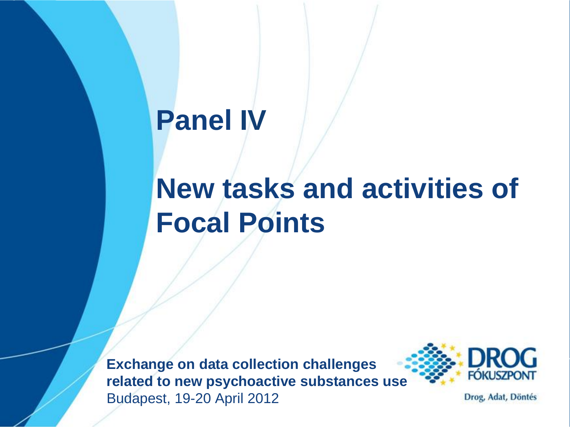#### **Panel IV**

#### **New tasks and activities of Focal Points**

**Exchange on data collection challenges related to new psychoactive substances use** Budapest, 19-20 April 2012



Drog, Adat, Döntés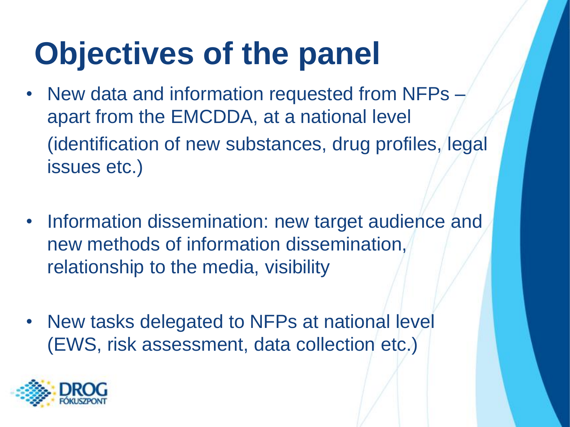### **Objectives of the panel**

- New data and information requested from NFPs apart from the EMCDDA, at a national level (identification of new substances, drug profiles, legal issues etc.)
- Information dissemination: new target audience and new methods of information dissemination, relationship to the media, visibility
- New tasks delegated to NFPs at national level (EWS, risk assessment, data collection etc.)

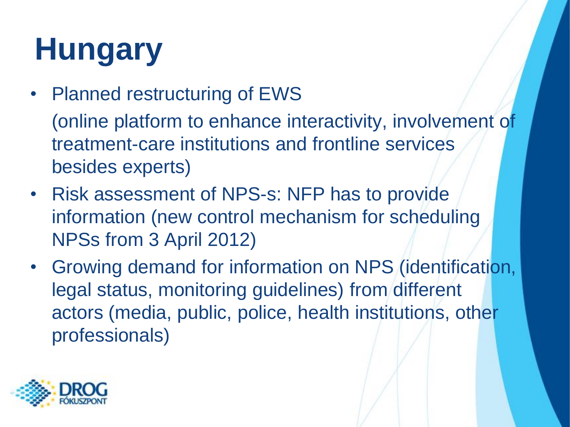# **Hungary**

- Planned restructuring of EWS (online platform to enhance interactivity, involvement of treatment-care institutions and frontline services besides experts)
- Risk assessment of NPS-s: NFP has to provide information (new control mechanism for scheduling NPSs from 3 April 2012)
- Growing demand for information on NPS (identification, legal status, monitoring guidelines) from different actors (media, public, police, health institutions, other professionals)

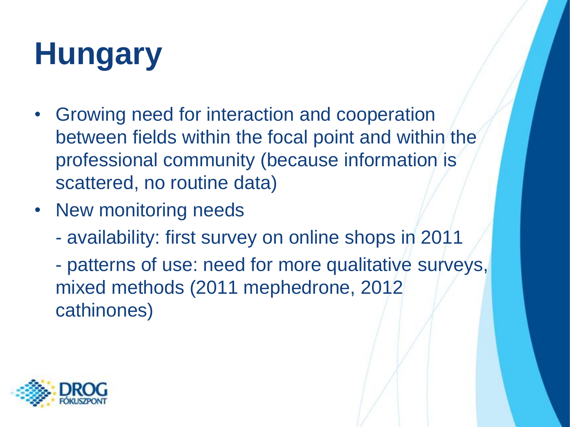# **Hungary**

- Growing need for interaction and cooperation between fields within the focal point and within the professional community (because information is scattered, no routine data)
- New monitoring needs
	- availability: first survey on online shops in 2011

- patterns of use: need for more qualitative surveys, mixed methods (2011 mephedrone, 2012 cathinones)

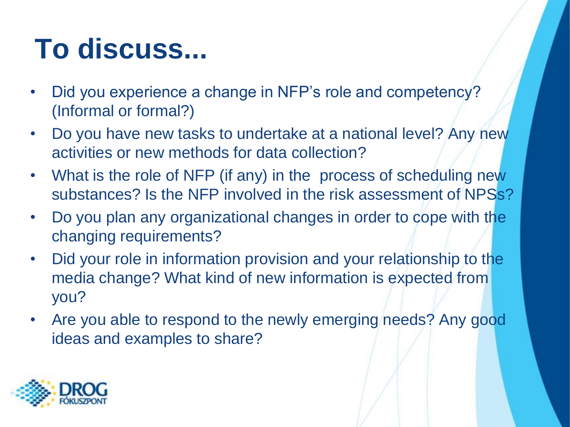#### **To discuss...**

- Did you experience a change in NFP's role and competency? (Informal or formal?)
- Do you have new tasks to undertake at a national level? Any new activities or new methods for data collection?
- What is the role of NFP (if any) in the process of scheduling new substances? Is the NFP involved in the risk assessment of NPSs?
- Do you plan any organizational changes in order to cope with the changing requirements?
- Did your role in information provision and your relationship to the media change? What kind of new information is expected from you?
- Are you able to respond to the newly emerging needs? Any good ideas and examples to share?